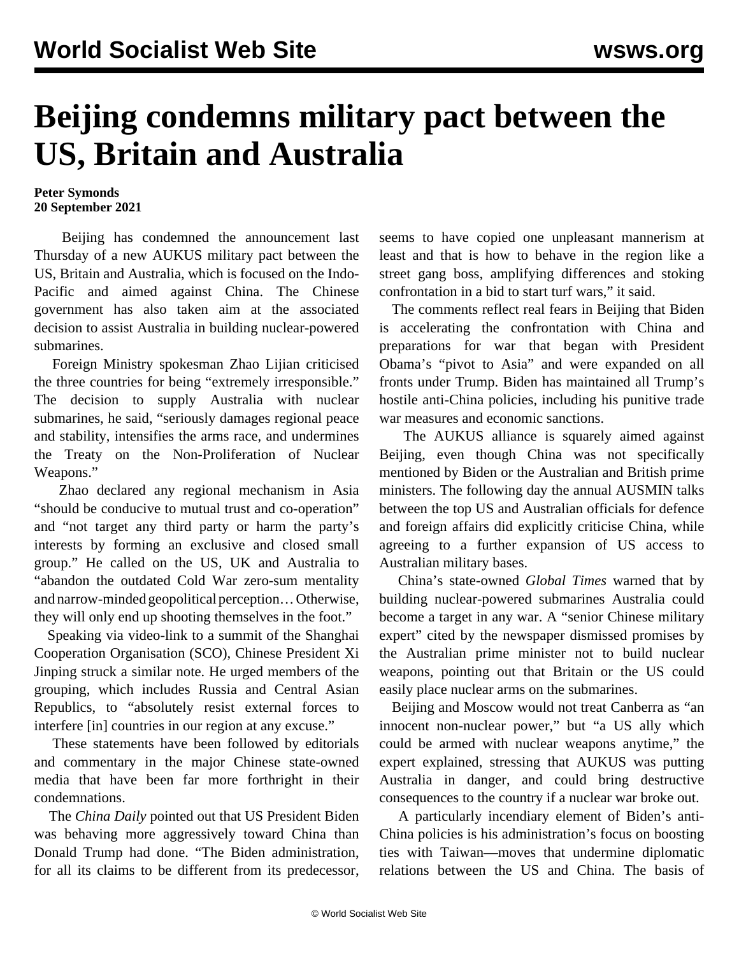## **Beijing condemns military pact between the US, Britain and Australia**

## **Peter Symonds 20 September 2021**

 Beijing has condemned the announcement last Thursday of a new AUKUS military pact between the US, Britain and Australia, which is focused on the Indo-Pacific and aimed against China. The Chinese government has also taken aim at the associated decision to assist Australia in building nuclear-powered submarines.

 Foreign Ministry spokesman Zhao Lijian criticised the three countries for being "extremely irresponsible." The decision to supply Australia with nuclear submarines, he said, "seriously damages regional peace and stability, intensifies the arms race, and undermines the Treaty on the Non-Proliferation of Nuclear Weapons."

 Zhao declared any regional mechanism in Asia "should be conducive to mutual trust and co-operation" and "not target any third party or harm the party's interests by forming an exclusive and closed small group." He called on the US, UK and Australia to "abandon the outdated Cold War zero-sum mentality and narrow-minded geopolitical perception… Otherwise, they will only end up shooting themselves in the foot."

 Speaking via video-link to a summit of the Shanghai Cooperation Organisation (SCO), Chinese President Xi Jinping struck a similar note. He urged members of the grouping, which includes Russia and Central Asian Republics, to "absolutely resist external forces to interfere [in] countries in our region at any excuse."

 These statements have been followed by editorials and commentary in the major Chinese state-owned media that have been far more forthright in their condemnations.

 The *China Daily* pointed out that US President Biden was behaving more aggressively toward China than Donald Trump had done. "The Biden administration, for all its claims to be different from its predecessor,

seems to have copied one unpleasant mannerism at least and that is how to behave in the region like a street gang boss, amplifying differences and stoking confrontation in a bid to start turf wars," it said.

 The comments reflect real fears in Beijing that Biden is accelerating the confrontation with China and preparations for war that began with President Obama's "pivot to Asia" and were expanded on all fronts under Trump. Biden has maintained all Trump's hostile anti-China policies, including his punitive trade war measures and economic sanctions.

 The AUKUS alliance is squarely aimed against Beijing, even though China was not specifically mentioned by Biden or the Australian and British prime ministers. The following day the annual AUSMIN talks between the top US and Australian officials for defence and foreign affairs did explicitly criticise China, while agreeing to a further expansion of US access to Australian military bases.

 China's state-owned *Global Times* warned that by building nuclear-powered submarines Australia could become a target in any war. A "senior Chinese military expert" cited by the newspaper dismissed promises by the Australian prime minister not to build nuclear weapons, pointing out that Britain or the US could easily place nuclear arms on the submarines.

 Beijing and Moscow would not treat Canberra as "an innocent non-nuclear power," but "a US ally which could be armed with nuclear weapons anytime," the expert explained, stressing that AUKUS was putting Australia in danger, and could bring destructive consequences to the country if a nuclear war broke out.

 A particularly incendiary element of Biden's anti-China policies is his administration's focus on boosting ties with Taiwan—moves that undermine diplomatic relations between the US and China. The basis of